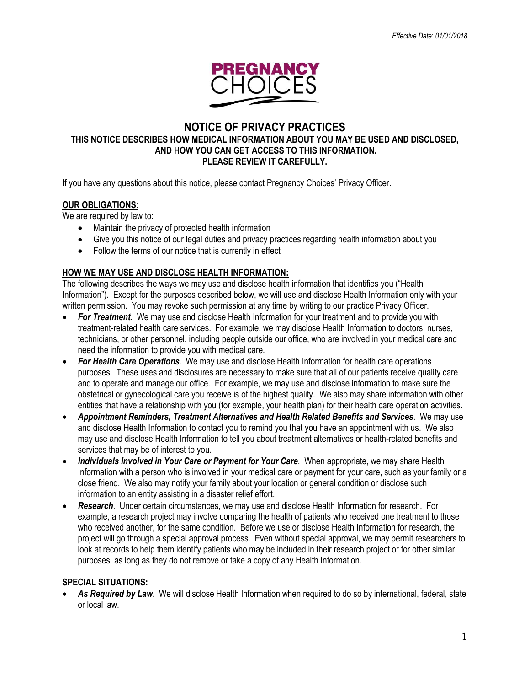

# **NOTICE OF PRIVACY PRACTICES THIS NOTICE DESCRIBES HOW MEDICAL INFORMATION ABOUT YOU MAY BE USED AND DISCLOSED, AND HOW YOU CAN GET ACCESS TO THIS INFORMATION. PLEASE REVIEW IT CAREFULLY.**

If you have any questions about this notice, please contact Pregnancy Choices' Privacy Officer.

## **OUR OBLIGATIONS:**

We are required by law to:

- Maintain the privacy of protected health information
- Give you this notice of our legal duties and privacy practices regarding health information about you
- Follow the terms of our notice that is currently in effect

## **HOW WE MAY USE AND DISCLOSE HEALTH INFORMATION:**

The following describes the ways we may use and disclose health information that identifies you ("Health Information"). Except for the purposes described below, we will use and disclose Health Information only with your written permission. You may revoke such permission at any time by writing to our practice Privacy Officer.

- *For Treatment*. We may use and disclose Health Information for your treatment and to provide you with treatment-related health care services. For example, we may disclose Health Information to doctors, nurses, technicians, or other personnel, including people outside our office, who are involved in your medical care and need the information to provide you with medical care.
- *For Health Care Operations*. We may use and disclose Health Information for health care operations purposes. These uses and disclosures are necessary to make sure that all of our patients receive quality care and to operate and manage our office. For example, we may use and disclose information to make sure the obstetrical or gynecological care you receive is of the highest quality. We also may share information with other entities that have a relationship with you (for example, your health plan) for their health care operation activities.
- *Appointment Reminders, Treatment Alternatives and Health Related Benefits and Services*. We may use and disclose Health Information to contact you to remind you that you have an appointment with us. We also may use and disclose Health Information to tell you about treatment alternatives or health-related benefits and services that may be of interest to you.
- *Individuals Involved in Your Care or Payment for Your Care*. When appropriate, we may share Health Information with a person who is involved in your medical care or payment for your care, such as your family or a close friend. We also may notify your family about your location or general condition or disclose such information to an entity assisting in a disaster relief effort.
- *Research*. Under certain circumstances, we may use and disclose Health Information for research. For example, a research project may involve comparing the health of patients who received one treatment to those who received another, for the same condition. Before we use or disclose Health Information for research, the project will go through a special approval process. Even without special approval, we may permit researchers to look at records to help them identify patients who may be included in their research project or for other similar purposes, as long as they do not remove or take a copy of any Health Information.

## **SPECIAL SITUATIONS:**

• *As Required by Law*. We will disclose Health Information when required to do so by international, federal, state or local law.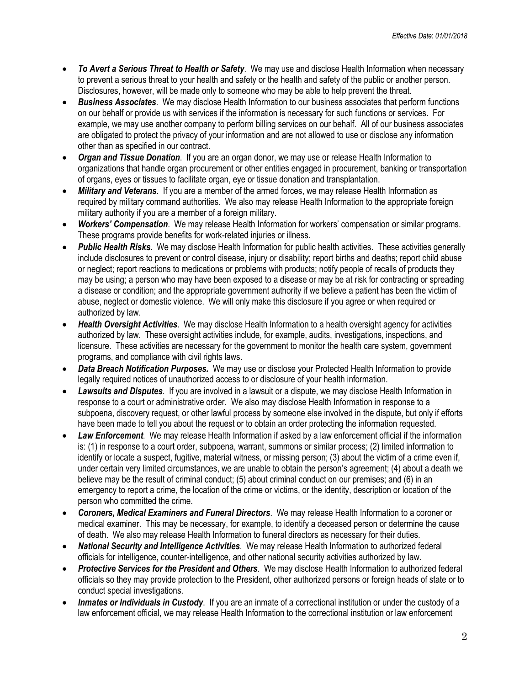- *To Avert a Serious Threat to Health or Safety*. We may use and disclose Health Information when necessary to prevent a serious threat to your health and safety or the health and safety of the public or another person. Disclosures, however, will be made only to someone who may be able to help prevent the threat.
- *Business Associates*. We may disclose Health Information to our business associates that perform functions on our behalf or provide us with services if the information is necessary for such functions or services. For example, we may use another company to perform billing services on our behalf. All of our business associates are obligated to protect the privacy of your information and are not allowed to use or disclose any information other than as specified in our contract.
- *Organ and Tissue Donation*. If you are an organ donor, we may use or release Health Information to organizations that handle organ procurement or other entities engaged in procurement, banking or transportation of organs, eyes or tissues to facilitate organ, eye or tissue donation and transplantation.
- *Military and Veterans*. If you are a member of the armed forces, we may release Health Information as required by military command authorities. We also may release Health Information to the appropriate foreign military authority if you are a member of a foreign military.
- *Workers' Compensation*. We may release Health Information for workers' compensation or similar programs. These programs provide benefits for work-related injuries or illness.
- *Public Health Risks*. We may disclose Health Information for public health activities. These activities generally include disclosures to prevent or control disease, injury or disability; report births and deaths; report child abuse or neglect; report reactions to medications or problems with products; notify people of recalls of products they may be using; a person who may have been exposed to a disease or may be at risk for contracting or spreading a disease or condition; and the appropriate government authority if we believe a patient has been the victim of abuse, neglect or domestic violence. We will only make this disclosure if you agree or when required or authorized by law.
- *Health Oversight Activities*. We may disclose Health Information to a health oversight agency for activities authorized by law. These oversight activities include, for example, audits, investigations, inspections, and licensure. These activities are necessary for the government to monitor the health care system, government programs, and compliance with civil rights laws.
- *Data Breach Notification Purposes.* We may use or disclose your Protected Health Information to provide legally required notices of unauthorized access to or disclosure of your health information.
- *Lawsuits and Disputes*. If you are involved in a lawsuit or a dispute, we may disclose Health Information in response to a court or administrative order. We also may disclose Health Information in response to a subpoena, discovery request, or other lawful process by someone else involved in the dispute, but only if efforts have been made to tell you about the request or to obtain an order protecting the information requested.
- *Law Enforcement*. We may release Health Information if asked by a law enforcement official if the information is: (1) in response to a court order, subpoena, warrant, summons or similar process; (2) limited information to identify or locate a suspect, fugitive, material witness, or missing person; (3) about the victim of a crime even if, under certain very limited circumstances, we are unable to obtain the person's agreement; (4) about a death we believe may be the result of criminal conduct; (5) about criminal conduct on our premises; and (6) in an emergency to report a crime, the location of the crime or victims, or the identity, description or location of the person who committed the crime.
- *Coroners, Medical Examiners and Funeral Directors*. We may release Health Information to a coroner or medical examiner. This may be necessary, for example, to identify a deceased person or determine the cause of death. We also may release Health Information to funeral directors as necessary for their duties.
- *National Security and Intelligence Activities*. We may release Health Information to authorized federal officials for intelligence, counter-intelligence, and other national security activities authorized by law.
- *Protective Services for the President and Others*. We may disclose Health Information to authorized federal officials so they may provide protection to the President, other authorized persons or foreign heads of state or to conduct special investigations.
- *Inmates or Individuals in Custody*. If you are an inmate of a correctional institution or under the custody of a law enforcement official, we may release Health Information to the correctional institution or law enforcement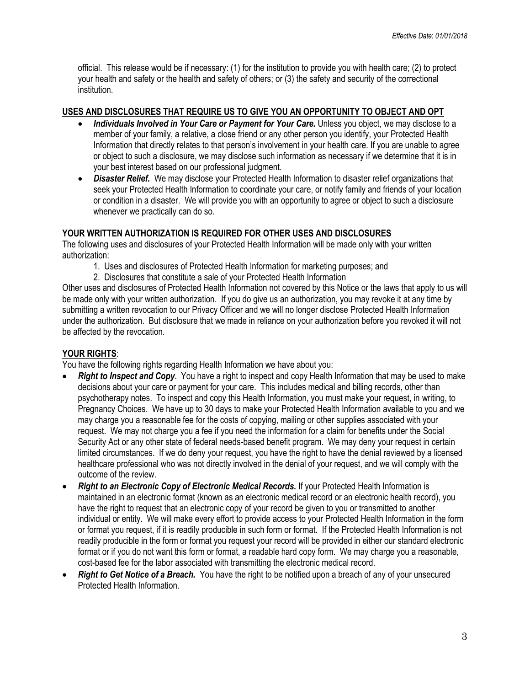official. This release would be if necessary: (1) for the institution to provide you with health care; (2) to protect your health and safety or the health and safety of others; or (3) the safety and security of the correctional institution.

## **USES AND DISCLOSURES THAT REQUIRE US TO GIVE YOU AN OPPORTUNITY TO OBJECT AND OPT**

- *Individuals Involved in Your Care or Payment for Your Care.* Unless you object, we may disclose to a member of your family, a relative, a close friend or any other person you identify, your Protected Health Information that directly relates to that person's involvement in your health care. If you are unable to agree or object to such a disclosure, we may disclose such information as necessary if we determine that it is in your best interest based on our professional judgment.
- *Disaster Relief.* We may disclose your Protected Health Information to disaster relief organizations that seek your Protected Health Information to coordinate your care, or notify family and friends of your location or condition in a disaster. We will provide you with an opportunity to agree or object to such a disclosure whenever we practically can do so.

# **YOUR WRITTEN AUTHORIZATION IS REQUIRED FOR OTHER USES AND DISCLOSURES**

The following uses and disclosures of your Protected Health Information will be made only with your written authorization:

- 1. Uses and disclosures of Protected Health Information for marketing purposes; and
- 2. Disclosures that constitute a sale of your Protected Health Information

Other uses and disclosures of Protected Health Information not covered by this Notice or the laws that apply to us will be made only with your written authorization. If you do give us an authorization, you may revoke it at any time by submitting a written revocation to our Privacy Officer and we will no longer disclose Protected Health Information under the authorization. But disclosure that we made in reliance on your authorization before you revoked it will not be affected by the revocation.

## **YOUR RIGHTS**:

You have the following rights regarding Health Information we have about you:

- *Right to Inspect and Copy.* You have a right to inspect and copy Health Information that may be used to make decisions about your care or payment for your care. This includes medical and billing records, other than psychotherapy notes. To inspect and copy this Health Information, you must make your request, in writing, to Pregnancy Choices. We have up to 30 days to make your Protected Health Information available to you and we may charge you a reasonable fee for the costs of copying, mailing or other supplies associated with your request. We may not charge you a fee if you need the information for a claim for benefits under the Social Security Act or any other state of federal needs-based benefit program. We may deny your request in certain limited circumstances. If we do deny your request, you have the right to have the denial reviewed by a licensed healthcare professional who was not directly involved in the denial of your request, and we will comply with the outcome of the review.
- *Right to an Electronic Copy of Electronic Medical Records.* If your Protected Health Information is maintained in an electronic format (known as an electronic medical record or an electronic health record), you have the right to request that an electronic copy of your record be given to you or transmitted to another individual or entity. We will make every effort to provide access to your Protected Health Information in the form or format you request, if it is readily producible in such form or format. If the Protected Health Information is not readily producible in the form or format you request your record will be provided in either our standard electronic format or if you do not want this form or format, a readable hard copy form. We may charge you a reasonable, cost-based fee for the labor associated with transmitting the electronic medical record.
- *Right to Get Notice of a Breach.* You have the right to be notified upon a breach of any of your unsecured Protected Health Information.